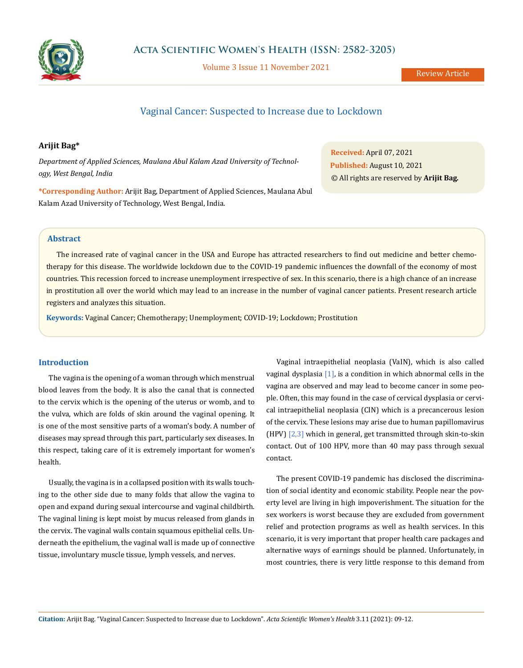

Volume 3 Issue 11 November 2021

# Vaginal Cancer: Suspected to Increase due to Lockdown

# **Arijit Bag\***

*Department of Applied Sciences, Maulana Abul Kalam Azad University of Technology, West Bengal, India*

**\*Corresponding Author:** Arijit Bag, Department of Applied Sciences, Maulana Abul Kalam Azad University of Technology, West Bengal, India.

**Received:** April 07, 2021 **Published:** August 10, 2021 © All rights are reserved by **Arijit Bag***.*

## **Abstract**

The increased rate of vaginal cancer in the USA and Europe has attracted researchers to find out medicine and better chemotherapy for this disease. The worldwide lockdown due to the COVID-19 pandemic influences the downfall of the economy of most countries. This recession forced to increase unemployment irrespective of sex. In this scenario, there is a high chance of an increase in prostitution all over the world which may lead to an increase in the number of vaginal cancer patients. Present research article registers and analyzes this situation.

**Keywords:** Vaginal Cancer; Chemotherapy; Unemployment; COVID-19; Lockdown; Prostitution

#### **Introduction**

The vagina is the opening of a woman through which menstrual blood leaves from the body. It is also the canal that is connected to the cervix which is the opening of the uterus or womb, and to the vulva, which are folds of skin around the vaginal opening. It is one of the most sensitive parts of a woman's body. A number of diseases may spread through this part, particularly sex diseases. In this respect, taking care of it is extremely important for women's health.

Usually, the vagina is in a collapsed position with its walls touching to the other side due to many folds that allow the vagina to open and expand during sexual intercourse and vaginal childbirth. The vaginal lining is kept moist by mucus released from glands in the cervix. The vaginal walls contain squamous epithelial cells. Underneath the epithelium, the vaginal wall is made up of connective tissue, involuntary muscle tissue, lymph vessels, and nerves.

Vaginal intraepithelial neoplasia (VaIN), which is also called vaginal dysplasia  $[1]$ , is a condition in which abnormal cells in the vagina are observed and may lead to become cancer in some people. Often, this may found in the case of cervical dysplasia or cervical intraepithelial neoplasia (CIN) which is a precancerous lesion of the cervix. These lesions may arise due to human papillomavirus (HPV) [2,3] which in general, get transmitted through skin-to-skin contact. Out of 100 HPV, more than 40 may pass through sexual contact.

The present COVID-19 pandemic has disclosed the discrimination of social identity and economic stability. People near the poverty level are living in high impoverishment. The situation for the sex workers is worst because they are excluded from government relief and protection programs as well as health services. In this scenario, it is very important that proper health care packages and alternative ways of earnings should be planned. Unfortunately, in most countries, there is very little response to this demand from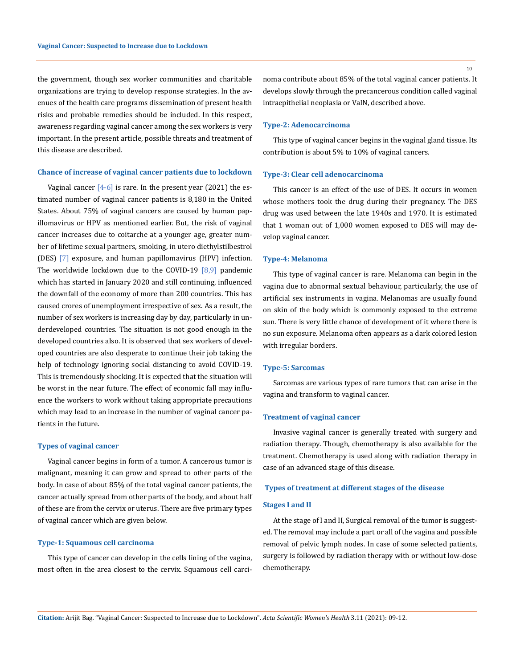the government, though sex worker communities and charitable organizations are trying to develop response strategies. In the avenues of the health care programs dissemination of present health risks and probable remedies should be included. In this respect, awareness regarding vaginal cancer among the sex workers is very important. In the present article, possible threats and treatment of this disease are described.

#### **Chance of increase of vaginal cancer patients due to lockdown**

Vaginal cancer  $[4-6]$  is rare. In the present year (2021) the estimated number of vaginal cancer patients is 8,180 in the United States. About 75% of vaginal cancers are caused by human papillomavirus or HPV as mentioned earlier. But, the risk of vaginal cancer increases due to coitarche at a younger age, greater number of lifetime sexual partners, smoking, in utero diethylstilbestrol (DES) [7] exposure, and human papillomavirus (HPV) infection. The worldwide lockdown due to the COVID-19  $[8,9]$  pandemic which has started in January 2020 and still continuing, influenced the downfall of the economy of more than 200 countries. This has caused crores of unemployment irrespective of sex. As a result, the number of sex workers is increasing day by day, particularly in underdeveloped countries. The situation is not good enough in the developed countries also. It is observed that sex workers of developed countries are also desperate to continue their job taking the help of technology ignoring social distancing to avoid COVID-19. This is tremendously shocking. It is expected that the situation will be worst in the near future. The effect of economic fall may influence the workers to work without taking appropriate precautions which may lead to an increase in the number of vaginal cancer patients in the future.

#### **Types of vaginal cancer**

Vaginal cancer begins in form of a tumor. A cancerous tumor is malignant, meaning it can grow and spread to other parts of the body. In case of about 85% of the total vaginal cancer patients, the cancer actually spread from other parts of the body, and about half of these are from the cervix or uterus. There are five primary types of vaginal cancer which are given below.

## **Type-1: Squamous cell carcinoma**

This type of cancer can develop in the cells lining of the vagina, most often in the area closest to the cervix. Squamous cell carci-

noma contribute about 85% of the total vaginal cancer patients. It develops slowly through the precancerous condition called vaginal intraepithelial neoplasia or VaIN, described above.

## **Type-2: Adenocarcinoma**

This type of vaginal cancer begins in the vaginal gland tissue. Its contribution is about 5% to 10% of vaginal cancers.

#### **Type-3: Clear cell adenocarcinoma**

This cancer is an effect of the use of DES. It occurs in women whose mothers took the drug during their pregnancy. The DES drug was used between the late 1940s and 1970. It is estimated that 1 woman out of 1,000 women exposed to DES will may develop vaginal cancer.

## **Type-4: Melanoma**

This type of vaginal cancer is rare. Melanoma can begin in the vagina due to abnormal sextual behaviour, particularly, the use of artificial sex instruments in vagina. Melanomas are usually found on skin of the body which is commonly exposed to the extreme sun. There is very little chance of development of it where there is no sun exposure. Melanoma often appears as a dark colored lesion with irregular borders.

## **Type-5: Sarcomas**

Sarcomas are various types of rare tumors that can arise in the vagina and transform to vaginal cancer.

#### **Treatment of vaginal cancer**

Invasive vaginal cancer is generally treated with surgery and radiation therapy. Though, chemotherapy is also available for the treatment. Chemotherapy is used along with radiation therapy in case of an advanced stage of this disease.

## **Types of treatment at different stages of the disease**

#### **Stages I and II**

At the stage of I and II, Surgical removal of the tumor is suggested. The removal may include a part or all of the vagina and possible removal of pelvic lymph nodes. In case of some selected patients, surgery is followed by radiation therapy with or without low-dose chemotherapy.

10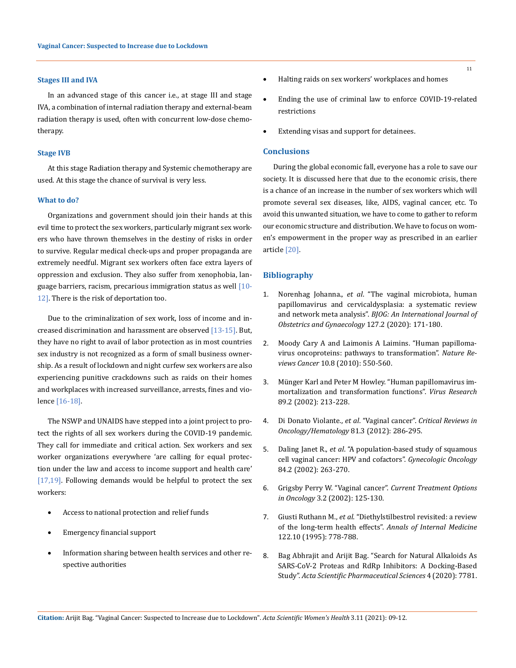#### **Stages III and IVA**

In an advanced stage of this cancer i.e., at stage III and stage IVA, a combination of internal radiation therapy and external-beam radiation therapy is used, often with concurrent low-dose chemotherapy.

#### **Stage IVB**

At this stage Radiation therapy and Systemic chemotherapy are used. At this stage the chance of survival is very less.

#### **What to do?**

Organizations and government should join their hands at this evil time to protect the sex workers, particularly migrant sex workers who have thrown themselves in the destiny of risks in order to survive. Regular medical check-ups and proper propaganda are extremely needful. Migrant sex workers often face extra layers of oppression and exclusion. They also suffer from xenophobia, language barriers, racism, precarious immigration status as well [10-12]. There is the risk of deportation too.

Due to the criminalization of sex work, loss of income and increased discrimination and harassment are observed [13-15]. But, they have no right to avail of labor protection as in most countries sex industry is not recognized as a form of small business ownership. As a result of lockdown and night curfew sex workers are also experiencing punitive crackdowns such as raids on their homes and workplaces with increased surveillance, arrests, fines and violence [16-18].

The NSWP and UNAIDS have stepped into a joint project to protect the rights of all sex workers during the COVID-19 pandemic. They call for immediate and critical action. Sex workers and sex worker organizations everywhere 'are calling for equal protection under the law and access to income support and health care' [17,19]. Following demands would be helpful to protect the sex workers:

- Access to national protection and relief funds
- Emergency financial support
- Information sharing between health services and other respective authorities
- • Halting raids on sex workers' workplaces and homes
- Ending the use of criminal law to enforce COVID-19-related restrictions
- Extending visas and support for detainees.

## **Conclusions**

During the global economic fall, everyone has a role to save our society. It is discussed here that due to the economic crisis, there is a chance of an increase in the number of sex workers which will promote several sex diseases, like, AIDS, vaginal cancer, etc. To avoid this unwanted situation, we have to come to gather to reform our economic structure and distribution. We have to focus on women's empowerment in the proper way as prescribed in an earlier article [20].

#### **Bibliography**

- 1. Norenhag Johanna., *et al*[. "The vaginal microbiota, human](https://pubmed.ncbi.nlm.nih.gov/31237400/) [papillomavirus and cervicaldysplasia: a systematic review](https://pubmed.ncbi.nlm.nih.gov/31237400/) and network meta analysis". *[BJOG: An International Journal of](https://pubmed.ncbi.nlm.nih.gov/31237400/) [Obstetrics and Gynaecology](https://pubmed.ncbi.nlm.nih.gov/31237400/)* 127.2 (2020): 171-180.
- 2. [Moody Cary A and Laimonis A Laimins. "Human papilloma](https://www.nature.com/articles/nrc2886)[virus oncoproteins: pathways to transformation".](https://www.nature.com/articles/nrc2886) *Nature Reviews Cancer* [10.8 \(2010\): 550-560.](https://www.nature.com/articles/nrc2886)
- 3. [Münger Karl and Peter M Howley. "Human papillomavirus im](https://pubmed.ncbi.nlm.nih.gov/12445661/)[mortalization and transformation functions".](https://pubmed.ncbi.nlm.nih.gov/12445661/) *Virus Research* [89.2 \(2002\): 213-228.](https://pubmed.ncbi.nlm.nih.gov/12445661/)
- 4. Di Donato Violante., *et al*. "Vaginal cancer". *[Critical Reviews in](https://pubmed.ncbi.nlm.nih.gov/21571543/) [Oncology/Hematology](https://pubmed.ncbi.nlm.nih.gov/21571543/)* 81.3 (2012): 286-295.
- 5. Daling Janet R., *et al*[. "A population-based study of squamous](https://pubmed.ncbi.nlm.nih.gov/11812085/) [cell vaginal cancer: HPV and cofactors".](https://pubmed.ncbi.nlm.nih.gov/11812085/) *Gynecologic Oncology* [84.2 \(2002\): 263-270.](https://pubmed.ncbi.nlm.nih.gov/11812085/)
- 6. [Grigsby Perry W. "Vaginal cancer".](https://link.springer.com/article/10.1007/s11864-002-0058-4) *Current Treatment Options in Oncology* [3.2 \(2002\): 125-130.](https://link.springer.com/article/10.1007/s11864-002-0058-4)
- 7. Giusti Ruthann M., *et al*[. "Diethylstilbestrol revisited: a review](https://pubmed.ncbi.nlm.nih.gov/7717601/) of the long-term health effects". *[Annals of Internal Medicine](https://pubmed.ncbi.nlm.nih.gov/7717601/)* [122.10 \(1995\): 778-788.](https://pubmed.ncbi.nlm.nih.gov/7717601/)
- 8. [Bag Abhrajit and Arijit Bag. "Search for Natural Alkaloids As](https://actascientific.com/ASPS/ASPS-04-0620.php) [SARS-CoV-2 Proteas and RdRp Inhibitors: A Docking-Based](https://actascientific.com/ASPS/ASPS-04-0620.php) Study". *[Acta Scientific Pharmaceutical Sciences](https://actascientific.com/ASPS/ASPS-04-0620.php)* 4 (2020): 7781.